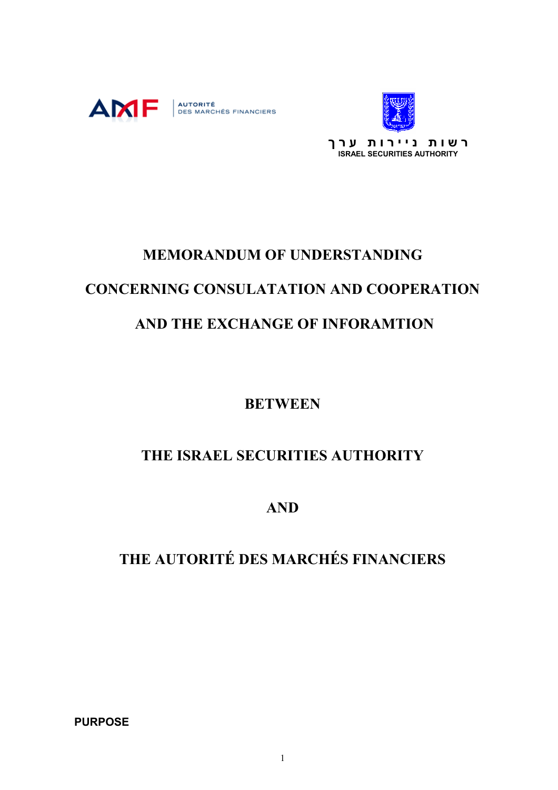



# **MEMORANDUM OF UNDERSTANDING CONCERNING CONSULATATION AND COOPERATION AND THE EXCHANGE OF INFORAMTION**

**BETWEEN** 

# **THE ISRAEL SECURITIES AUTHORITY**

**AND** 

**THE AUTORITÉ DES MARCHÉS FINANCIERS** 

**PURPOSE**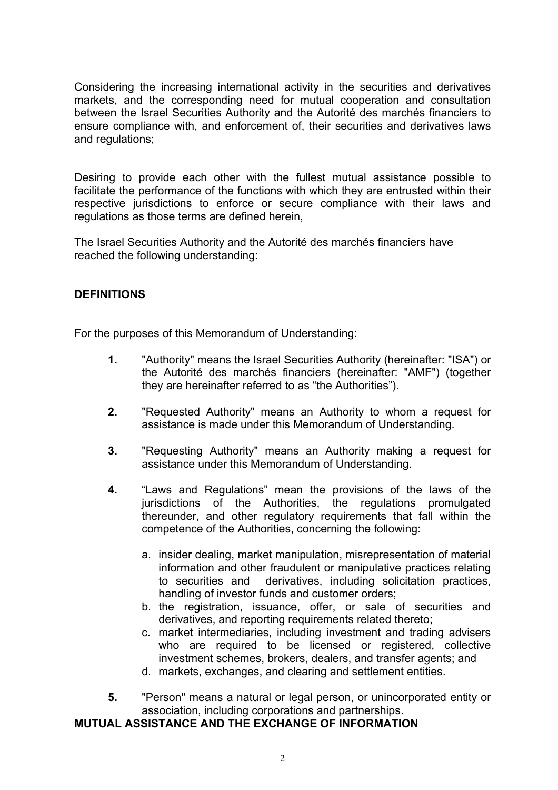Considering the increasing international activity in the securities and derivatives markets, and the corresponding need for mutual cooperation and consultation between the Israel Securities Authority and the Autorité des marchés financiers to ensure compliance with, and enforcement of, their securities and derivatives laws and regulations;

Desiring to provide each other with the fullest mutual assistance possible to facilitate the performance of the functions with which they are entrusted within their respective jurisdictions to enforce or secure compliance with their laws and regulations as those terms are defined herein,

The Israel Securities Authority and the Autorité des marchés financiers have reached the following understanding:

## **DEFINITIONS**

For the purposes of this Memorandum of Understanding:

- **1.** "Authority" means the Israel Securities Authority (hereinafter: "ISA") or the Autorité des marchés financiers (hereinafter: "AMF") (together they are hereinafter referred to as "the Authorities").
- **2.** "Requested Authority" means an Authority to whom a request for assistance is made under this Memorandum of Understanding.
- **3.** "Requesting Authority" means an Authority making a request for assistance under this Memorandum of Understanding.
- **4.** "Laws and Regulations" mean the provisions of the laws of the jurisdictions of the Authorities, the regulations promulgated thereunder, and other regulatory requirements that fall within the competence of the Authorities, concerning the following:
	- a. insider dealing, market manipulation, misrepresentation of material information and other fraudulent or manipulative practices relating to securities and derivatives, including solicitation practices, handling of investor funds and customer orders;
	- b. the registration, issuance, offer, or sale of securities and derivatives, and reporting requirements related thereto;
	- c. market intermediaries, including investment and trading advisers who are required to be licensed or registered, collective investment schemes, brokers, dealers, and transfer agents; and
	- d. markets, exchanges, and clearing and settlement entities.
- **5.** "Person" means a natural or legal person, or unincorporated entity or association, including corporations and partnerships.

## **MUTUAL ASSISTANCE AND THE EXCHANGE OF INFORMATION**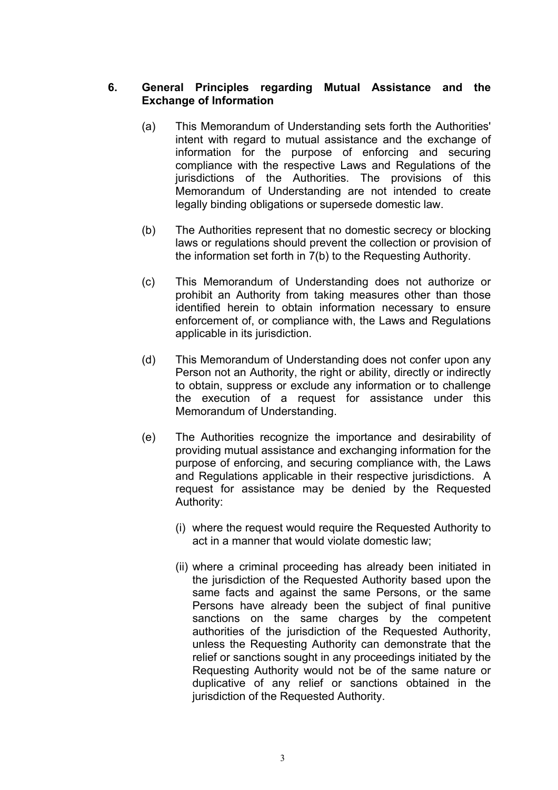## **6. General Principles regarding Mutual Assistance and the Exchange of Information**

- (a) This Memorandum of Understanding sets forth the Authorities' intent with regard to mutual assistance and the exchange of information for the purpose of enforcing and securing compliance with the respective Laws and Regulations of the jurisdictions of the Authorities. The provisions of this Memorandum of Understanding are not intended to create legally binding obligations or supersede domestic law.
- (b) The Authorities represent that no domestic secrecy or blocking laws or regulations should prevent the collection or provision of the information set forth in 7(b) to the Requesting Authority.
- (c) This Memorandum of Understanding does not authorize or prohibit an Authority from taking measures other than those identified herein to obtain information necessary to ensure enforcement of, or compliance with, the Laws and Regulations applicable in its jurisdiction.
- (d) This Memorandum of Understanding does not confer upon any Person not an Authority, the right or ability, directly or indirectly to obtain, suppress or exclude any information or to challenge the execution of a request for assistance under this Memorandum of Understanding.
- (e) The Authorities recognize the importance and desirability of providing mutual assistance and exchanging information for the purpose of enforcing, and securing compliance with, the Laws and Regulations applicable in their respective jurisdictions. A request for assistance may be denied by the Requested Authority:
	- (i) where the request would require the Requested Authority to act in a manner that would violate domestic law;
	- (ii) where a criminal proceeding has already been initiated in the jurisdiction of the Requested Authority based upon the same facts and against the same Persons, or the same Persons have already been the subject of final punitive sanctions on the same charges by the competent authorities of the jurisdiction of the Requested Authority, unless the Requesting Authority can demonstrate that the relief or sanctions sought in any proceedings initiated by the Requesting Authority would not be of the same nature or duplicative of any relief or sanctions obtained in the jurisdiction of the Requested Authority.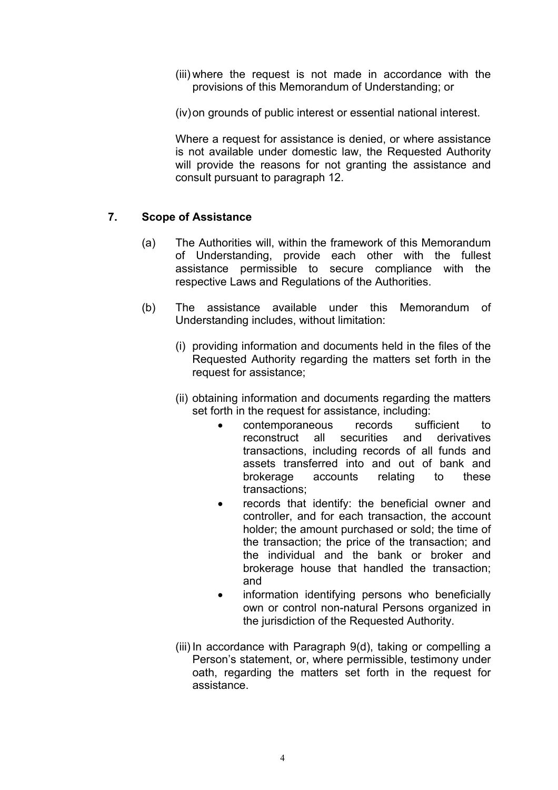- (iii) where the request is not made in accordance with the provisions of this Memorandum of Understanding; or
- (iv) on grounds of public interest or essential national interest.

Where a request for assistance is denied, or where assistance is not available under domestic law, the Requested Authority will provide the reasons for not granting the assistance and consult pursuant to paragraph 12.

## **7. Scope of Assistance**

- (a) The Authorities will, within the framework of this Memorandum of Understanding, provide each other with the fullest assistance permissible to secure compliance with the respective Laws and Regulations of the Authorities.
- (b) The assistance available under this Memorandum of Understanding includes, without limitation:
	- (i) providing information and documents held in the files of the Requested Authority regarding the matters set forth in the request for assistance;
	- (ii) obtaining information and documents regarding the matters set forth in the request for assistance, including:
		- contemporaneous records sufficient to reconstruct all securities and derivatives transactions, including records of all funds and assets transferred into and out of bank and brokerage accounts relating to these transactions;
		- records that identify: the beneficial owner and controller, and for each transaction, the account holder; the amount purchased or sold; the time of the transaction; the price of the transaction; and the individual and the bank or broker and brokerage house that handled the transaction; and
		- information identifying persons who beneficially own or control non-natural Persons organized in the jurisdiction of the Requested Authority.
	- (iii) In accordance with Paragraph 9(d), taking or compelling a Person's statement, or, where permissible, testimony under oath, regarding the matters set forth in the request for assistance.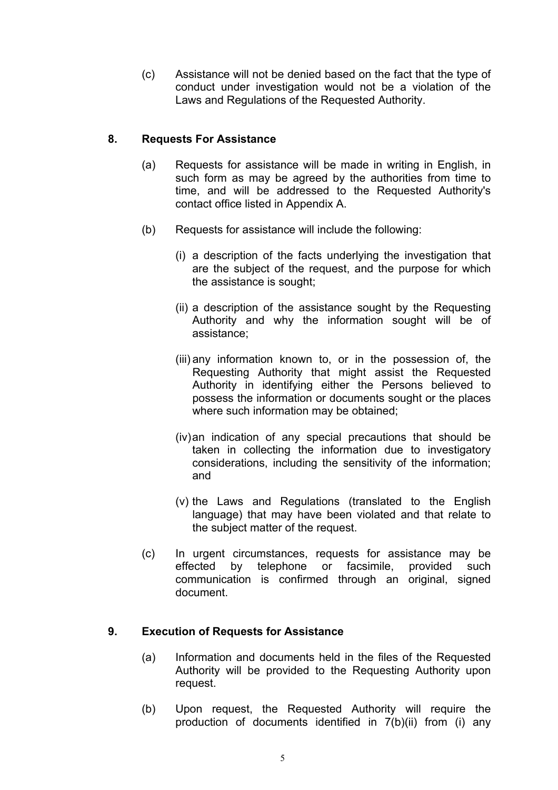(c) Assistance will not be denied based on the fact that the type of conduct under investigation would not be a violation of the Laws and Regulations of the Requested Authority.

# **8. Requests For Assistance**

- (a) Requests for assistance will be made in writing in English, in such form as may be agreed by the authorities from time to time, and will be addressed to the Requested Authority's contact office listed in Appendix A.
- (b) Requests for assistance will include the following:
	- (i) a description of the facts underlying the investigation that are the subject of the request, and the purpose for which the assistance is sought;
	- (ii) a description of the assistance sought by the Requesting Authority and why the information sought will be of assistance;
	- (iii) any information known to, or in the possession of, the Requesting Authority that might assist the Requested Authority in identifying either the Persons believed to possess the information or documents sought or the places where such information may be obtained;
	- (iv) an indication of any special precautions that should be taken in collecting the information due to investigatory considerations, including the sensitivity of the information; and
	- (v) the Laws and Regulations (translated to the English language) that may have been violated and that relate to the subject matter of the request.
- (c) In urgent circumstances, requests for assistance may be effected by telephone or facsimile, provided such communication is confirmed through an original, signed document.

# **9. Execution of Requests for Assistance**

- (a) Information and documents held in the files of the Requested Authority will be provided to the Requesting Authority upon request.
- (b) Upon request, the Requested Authority will require the production of documents identified in 7(b)(ii) from (i) any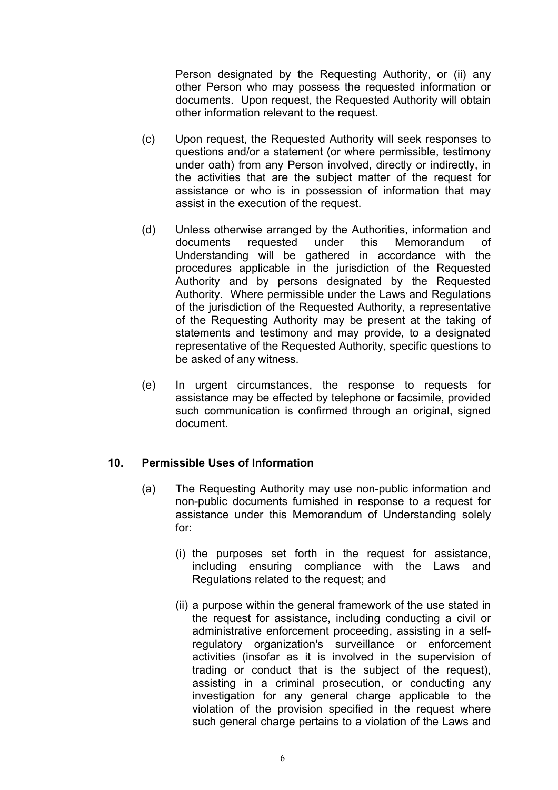Person designated by the Requesting Authority, or (ii) any other Person who may possess the requested information or documents. Upon request, the Requested Authority will obtain other information relevant to the request.

- (c) Upon request, the Requested Authority will seek responses to questions and/or a statement (or where permissible, testimony under oath) from any Person involved, directly or indirectly, in the activities that are the subject matter of the request for assistance or who is in possession of information that may assist in the execution of the request.
- (d) Unless otherwise arranged by the Authorities, information and documents requested under this Memorandum of Understanding will be gathered in accordance with the procedures applicable in the jurisdiction of the Requested Authority and by persons designated by the Requested Authority. Where permissible under the Laws and Regulations of the jurisdiction of the Requested Authority, a representative of the Requesting Authority may be present at the taking of statements and testimony and may provide, to a designated representative of the Requested Authority, specific questions to be asked of any witness.
- (e) In urgent circumstances, the response to requests for assistance may be effected by telephone or facsimile, provided such communication is confirmed through an original, signed document.

#### **10. Permissible Uses of Information**

- (a) The Requesting Authority may use non-public information and non-public documents furnished in response to a request for assistance under this Memorandum of Understanding solely for:
	- (i) the purposes set forth in the request for assistance, including ensuring compliance with the Laws and Regulations related to the request; and
	- (ii) a purpose within the general framework of the use stated in the request for assistance, including conducting a civil or administrative enforcement proceeding, assisting in a selfregulatory organization's surveillance or enforcement activities (insofar as it is involved in the supervision of trading or conduct that is the subject of the request), assisting in a criminal prosecution, or conducting any investigation for any general charge applicable to the violation of the provision specified in the request where such general charge pertains to a violation of the Laws and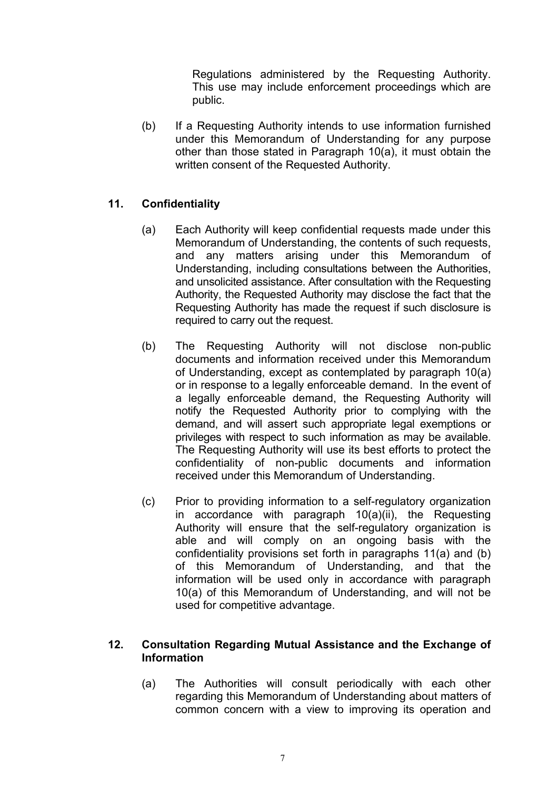Regulations administered by the Requesting Authority. This use may include enforcement proceedings which are public.

 (b) If a Requesting Authority intends to use information furnished under this Memorandum of Understanding for any purpose other than those stated in Paragraph 10(a), it must obtain the written consent of the Requested Authority.

# **11. Confidentiality**

- (a) Each Authority will keep confidential requests made under this Memorandum of Understanding, the contents of such requests, and any matters arising under this Memorandum of Understanding, including consultations between the Authorities, and unsolicited assistance. After consultation with the Requesting Authority, the Requested Authority may disclose the fact that the Requesting Authority has made the request if such disclosure is required to carry out the request.
- (b) The Requesting Authority will not disclose non-public documents and information received under this Memorandum of Understanding, except as contemplated by paragraph 10(a) or in response to a legally enforceable demand. In the event of a legally enforceable demand, the Requesting Authority will notify the Requested Authority prior to complying with the demand, and will assert such appropriate legal exemptions or privileges with respect to such information as may be available. The Requesting Authority will use its best efforts to protect the confidentiality of non-public documents and information received under this Memorandum of Understanding.
- (c) Prior to providing information to a self-regulatory organization in accordance with paragraph 10(a)(ii), the Requesting Authority will ensure that the self-regulatory organization is able and will comply on an ongoing basis with the confidentiality provisions set forth in paragraphs 11(a) and (b) of this Memorandum of Understanding, and that the information will be used only in accordance with paragraph 10(a) of this Memorandum of Understanding, and will not be used for competitive advantage.

#### **12. Consultation Regarding Mutual Assistance and the Exchange of Information**

(a) The Authorities will consult periodically with each other regarding this Memorandum of Understanding about matters of common concern with a view to improving its operation and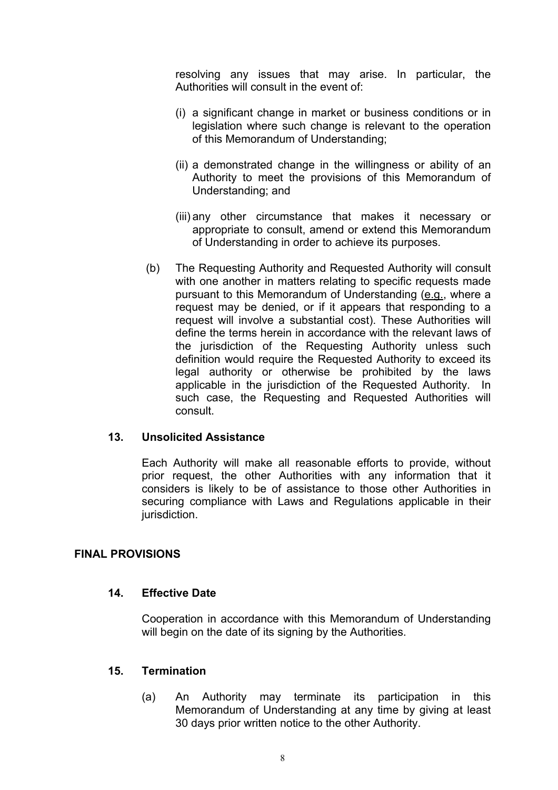resolving any issues that may arise. In particular, the Authorities will consult in the event of:

- (i) a significant change in market or business conditions or in legislation where such change is relevant to the operation of this Memorandum of Understanding;
- (ii) a demonstrated change in the willingness or ability of an Authority to meet the provisions of this Memorandum of Understanding; and
- (iii) any other circumstance that makes it necessary or appropriate to consult, amend or extend this Memorandum of Understanding in order to achieve its purposes.
- (b) The Requesting Authority and Requested Authority will consult with one another in matters relating to specific requests made pursuant to this Memorandum of Understanding (e.g., where a request may be denied, or if it appears that responding to a request will involve a substantial cost). These Authorities will define the terms herein in accordance with the relevant laws of the jurisdiction of the Requesting Authority unless such definition would require the Requested Authority to exceed its legal authority or otherwise be prohibited by the laws applicable in the jurisdiction of the Requested Authority. In such case, the Requesting and Requested Authorities will consult.

#### **13. Unsolicited Assistance**

Each Authority will make all reasonable efforts to provide, without prior request, the other Authorities with any information that it considers is likely to be of assistance to those other Authorities in securing compliance with Laws and Regulations applicable in their jurisdiction.

#### **FINAL PROVISIONS**

#### **14. Effective Date**

Cooperation in accordance with this Memorandum of Understanding will begin on the date of its signing by the Authorities.

#### **15. Termination**

(a) An Authority may terminate its participation in this Memorandum of Understanding at any time by giving at least 30 days prior written notice to the other Authority.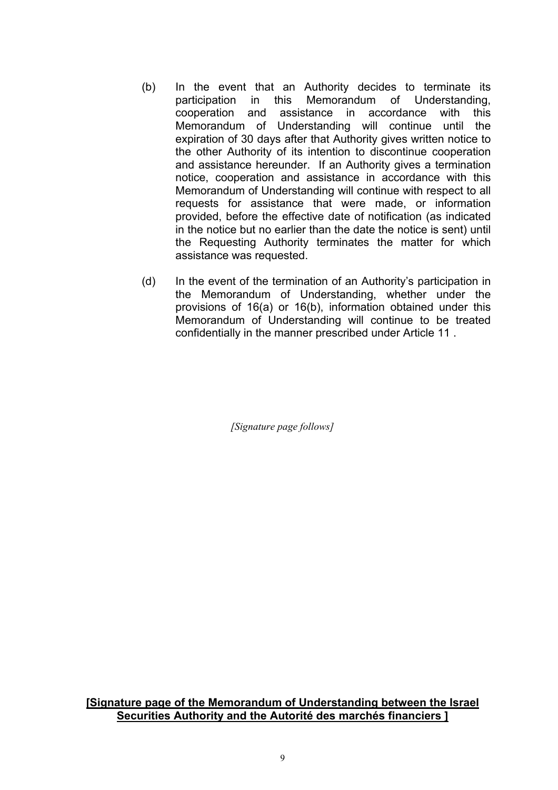- (b) In the event that an Authority decides to terminate its participation in this Memorandum of Understanding, cooperation and assistance in accordance with this Memorandum of Understanding will continue until the expiration of 30 days after that Authority gives written notice to the other Authority of its intention to discontinue cooperation and assistance hereunder. If an Authority gives a termination notice, cooperation and assistance in accordance with this Memorandum of Understanding will continue with respect to all requests for assistance that were made, or information provided, before the effective date of notification (as indicated in the notice but no earlier than the date the notice is sent) until the Requesting Authority terminates the matter for which assistance was requested.
- (d) In the event of the termination of an Authority's participation in the Memorandum of Understanding, whether under the provisions of 16(a) or 16(b), information obtained under this Memorandum of Understanding will continue to be treated confidentially in the manner prescribed under Article 11 .

*[Signature page follows]*

**[Signature page of the Memorandum of Understanding between the Israel Securities Authority and the Autorité des marchés financiers ]**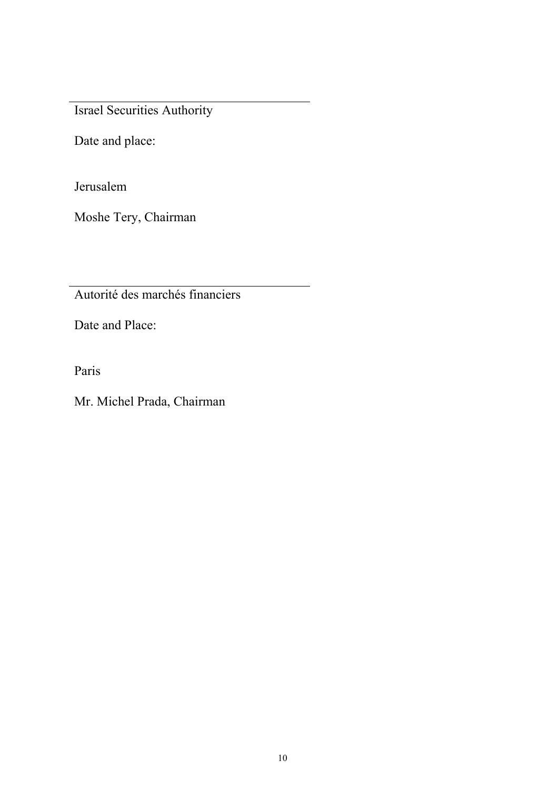Israel Securities Authority

Date and place:

Jerusalem

Moshe Tery, Chairman

Autorité des marchés financiers

Date and Place:

Paris

Mr. Michel Prada, Chairman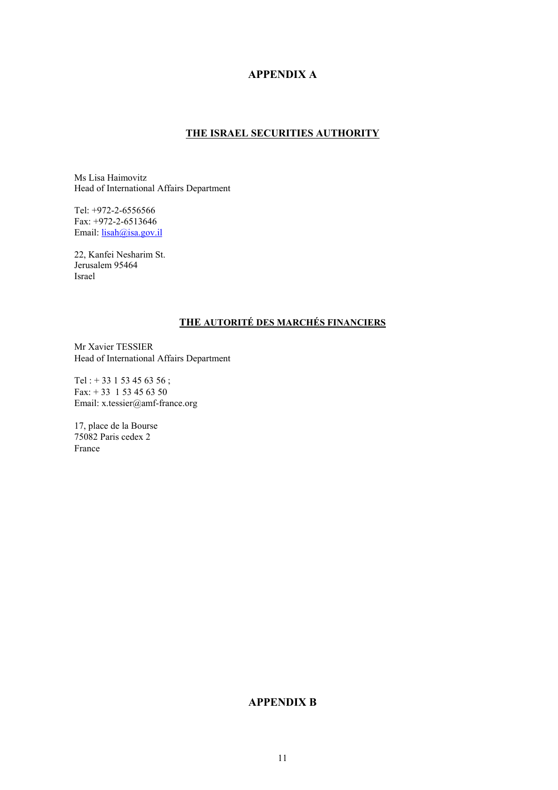#### **APPENDIX A**

#### **THE ISRAEL SECURITIES AUTHORITY**

Ms Lisa Haimovitz Head of International Affairs Department

Tel: +972-2-6556566 Fax: +972-2-6513646 Email: **lisah@isa.gov.il** 

22, Kanfei Nesharim St. Jerusalem 95464 Israel

#### **THE AUTORITÉ DES MARCHÉS FINANCIERS**

Mr Xavier TESSIER Head of International Affairs Department

Tel : + 33 1 53 45 63 56 ; Fax: + 33 1 53 45 63 50 Email: x.tessier@amf-france.org

17, place de la Bourse 75082 Paris cedex 2 France

#### **APPENDIX B**